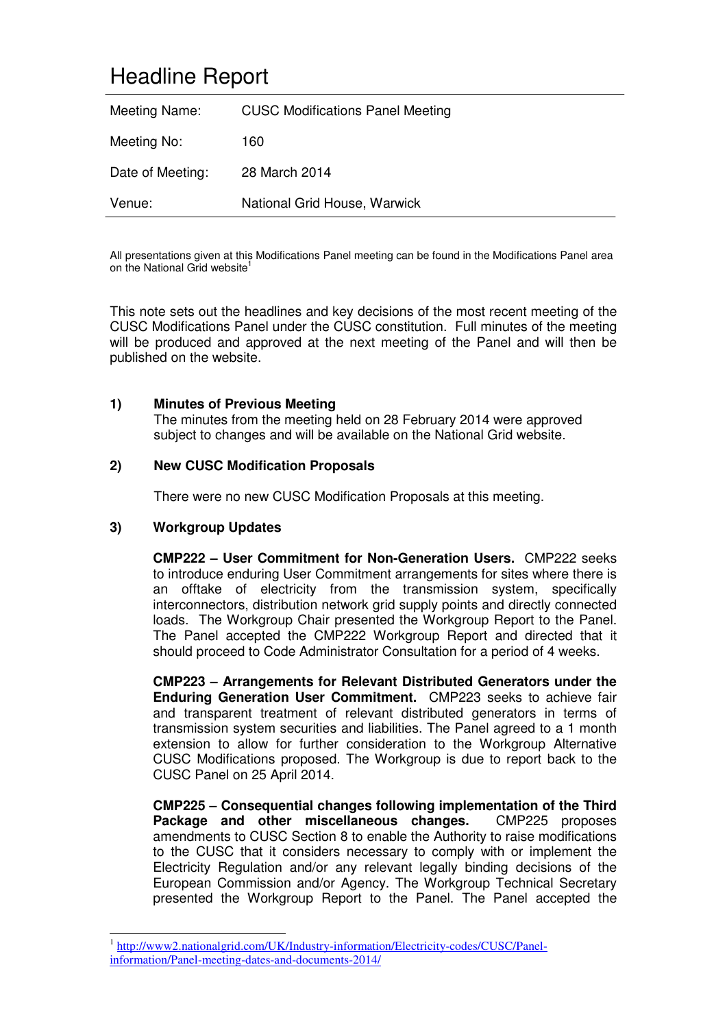# Headline Report

| Meeting Name:    | <b>CUSC Modifications Panel Meeting</b> |
|------------------|-----------------------------------------|
| Meeting No:      | 160                                     |
| Date of Meeting: | 28 March 2014                           |
| Venue:           | National Grid House, Warwick            |

All presentations given at this Modifications Panel meeting can be found in the Modifications Panel area on the National Grid website<sup>1</sup>

This note sets out the headlines and key decisions of the most recent meeting of the CUSC Modifications Panel under the CUSC constitution. Full minutes of the meeting will be produced and approved at the next meeting of the Panel and will then be published on the website.

### **1) Minutes of Previous Meeting**

The minutes from the meeting held on 28 February 2014 were approved subject to changes and will be available on the National Grid website.

### **2) New CUSC Modification Proposals**

There were no new CUSC Modification Proposals at this meeting.

### **3) Workgroup Updates**

-

**CMP222 – User Commitment for Non-Generation Users.** CMP222 seeks to introduce enduring User Commitment arrangements for sites where there is an offtake of electricity from the transmission system, specifically interconnectors, distribution network grid supply points and directly connected loads. The Workgroup Chair presented the Workgroup Report to the Panel. The Panel accepted the CMP222 Workgroup Report and directed that it should proceed to Code Administrator Consultation for a period of 4 weeks.

**CMP223 – Arrangements for Relevant Distributed Generators under the Enduring Generation User Commitment.** CMP223 seeks to achieve fair and transparent treatment of relevant distributed generators in terms of transmission system securities and liabilities. The Panel agreed to a 1 month extension to allow for further consideration to the Workgroup Alternative CUSC Modifications proposed. The Workgroup is due to report back to the CUSC Panel on 25 April 2014.

**CMP225 – Consequential changes following implementation of the Third Package and other miscellaneous changes.** CMP225 proposes amendments to CUSC Section 8 to enable the Authority to raise modifications to the CUSC that it considers necessary to comply with or implement the Electricity Regulation and/or any relevant legally binding decisions of the European Commission and/or Agency. The Workgroup Technical Secretary presented the Workgroup Report to the Panel. The Panel accepted the

<sup>1</sup> http://www2.nationalgrid.com/UK/Industry-information/Electricity-codes/CUSC/Panelinformation/Panel-meeting-dates-and-documents-2014/